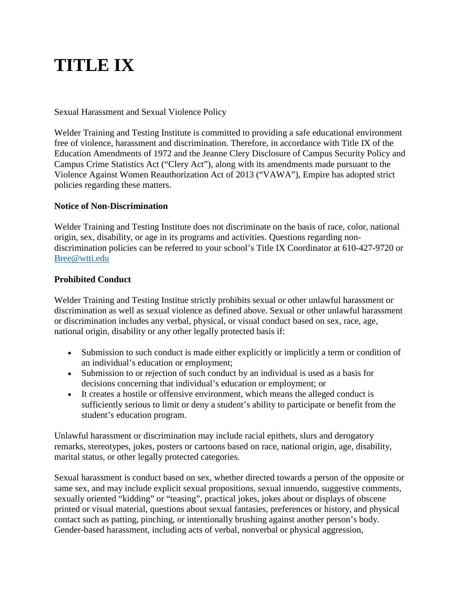# **TITLE IX**

Sexual Harassment and Sexual Violence Policy

Welder Training and Testing Institute is committed to providing a safe educational environment free of violence, harassment and discrimination. Therefore, in accordance with Title IX of the Education Amendments of 1972 and the Jeanne Clery Disclosure of Campus Security Policy and Campus Crime Statistics Act ("Clery Act"), along with its amendments made pursuant to the Violence Against Women Reauthorization Act of 2013 ("VAWA"), Empire has adopted strict policies regarding these matters.

# **Notice of Non-Discrimination**

Welder Training and Testing Institute does not discriminate on the basis of race, color, national origin, sex, disability, or age in its programs and activities. Questions regarding nondiscrimination policies can be referred to your school's Title IX Coordinator at 610-427-9720 or [Bree@wtti.edu](mailto:Bree@wtti.edu)

#### **Prohibited Conduct**

Welder Training and Testing Institue strictly prohibits sexual or other unlawful harassment or discrimination as well as sexual violence as defined above. Sexual or other unlawful harassment or discrimination includes any verbal, physical, or visual conduct based on sex, race, age, national origin, disability or any other legally protected basis if:

- Submission to such conduct is made either explicitly or implicitly a term or condition of an individual's education or employment;
- Submission to or rejection of such conduct by an individual is used as a basis for decisions concerning that individual's education or employment; or
- It creates a hostile or offensive environment, which means the alleged conduct is sufficiently serious to limit or deny a student's ability to participate or benefit from the student's education program.

Unlawful harassment or discrimination may include racial epithets, slurs and derogatory remarks, stereotypes, jokes, posters or cartoons based on race, national origin, age, disability, marital status, or other legally protected categories.

Sexual harassment is conduct based on sex, whether directed towards a person of the opposite or same sex, and may include explicit sexual propositions, sexual innuendo, suggestive comments, sexually oriented "kidding" or "teasing", practical jokes, jokes about or displays of obscene printed or visual material, questions about sexual fantasies, preferences or history, and physical contact such as patting, pinching, or intentionally brushing against another person's body. Gender-based harassment, including acts of verbal, nonverbal or physical aggression,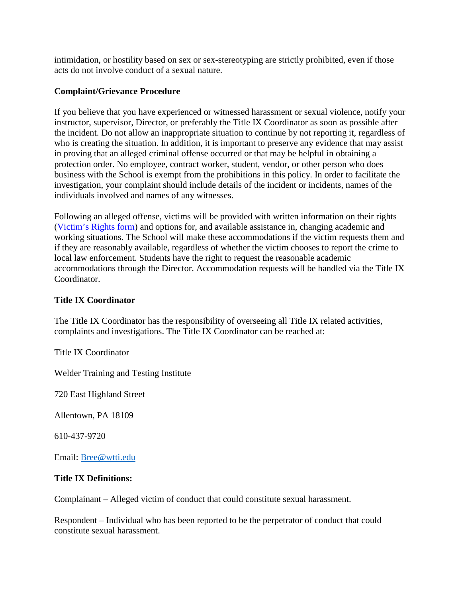intimidation, or hostility based on sex or sex-stereotyping are strictly prohibited, even if those acts do not involve conduct of a sexual nature.

#### **Complaint/Grievance Procedure**

If you believe that you have experienced or witnessed harassment or sexual violence, notify your instructor, supervisor, Director, or preferably the Title IX Coordinator as soon as possible after the incident. Do not allow an inappropriate situation to continue by not reporting it, regardless of who is creating the situation. In addition, it is important to preserve any evidence that may assist in proving that an alleged criminal offense occurred or that may be helpful in obtaining a protection order. No employee, contract worker, student, vendor, or other person who does business with the School is exempt from the prohibitions in this policy. In order to facilitate the investigation, your complaint should include details of the incident or incidents, names of the individuals involved and names of any witnesses.

Following an alleged offense, victims will be provided with written information on their rights (Victim's Rights form) and options for, and available assistance in, changing academic and working situations. The School will make these accommodations if the victim requests them and if they are reasonably available, regardless of whether the victim chooses to report the crime to local law enforcement. Students have the right to request the reasonable academic accommodations through the Director. Accommodation requests will be handled via the Title IX Coordinator.

### **Title IX Coordinator**

The Title IX Coordinator has the responsibility of overseeing all Title IX related activities, complaints and investigations. The Title IX Coordinator can be reached at:

Title IX Coordinator

Welder Training and Testing Institute

720 East Highland Street

Allentown, PA 18109

610-437-9720

Email: [Bree@wtti.edu](mailto:Bree@wtti.edu)

# **Title IX Definitions:**

Complainant – Alleged victim of conduct that could constitute sexual harassment.

Respondent – Individual who has been reported to be the perpetrator of conduct that could constitute sexual harassment.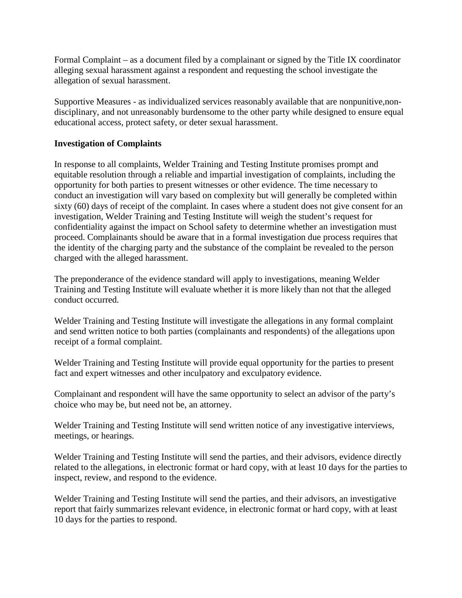Formal Complaint – as a document filed by a complainant or signed by the Title IX coordinator alleging sexual harassment against a respondent and requesting the school investigate the allegation of sexual harassment.

Supportive Measures - as individualized services reasonably available that are nonpunitive,nondisciplinary, and not unreasonably burdensome to the other party while designed to ensure equal educational access, protect safety, or deter sexual harassment.

### **Investigation of Complaints**

In response to all complaints, Welder Training and Testing Institute promises prompt and equitable resolution through a reliable and impartial investigation of complaints, including the opportunity for both parties to present witnesses or other evidence. The time necessary to conduct an investigation will vary based on complexity but will generally be completed within sixty (60) days of receipt of the complaint. In cases where a student does not give consent for an investigation, Welder Training and Testing Institute will weigh the student's request for confidentiality against the impact on School safety to determine whether an investigation must proceed. Complainants should be aware that in a formal investigation due process requires that the identity of the charging party and the substance of the complaint be revealed to the person charged with the alleged harassment.

The preponderance of the evidence standard will apply to investigations, meaning Welder Training and Testing Institute will evaluate whether it is more likely than not that the alleged conduct occurred.

Welder Training and Testing Institute will investigate the allegations in any formal complaint and send written notice to both parties (complainants and respondents) of the allegations upon receipt of a formal complaint.

Welder Training and Testing Institute will provide equal opportunity for the parties to present fact and expert witnesses and other inculpatory and exculpatory evidence.

Complainant and respondent will have the same opportunity to select an advisor of the party's choice who may be, but need not be, an attorney.

Welder Training and Testing Institute will send written notice of any investigative interviews, meetings, or hearings.

Welder Training and Testing Institute will send the parties, and their advisors, evidence directly related to the allegations, in electronic format or hard copy, with at least 10 days for the parties to inspect, review, and respond to the evidence.

Welder Training and Testing Institute will send the parties, and their advisors, an investigative report that fairly summarizes relevant evidence, in electronic format or hard copy, with at least 10 days for the parties to respond.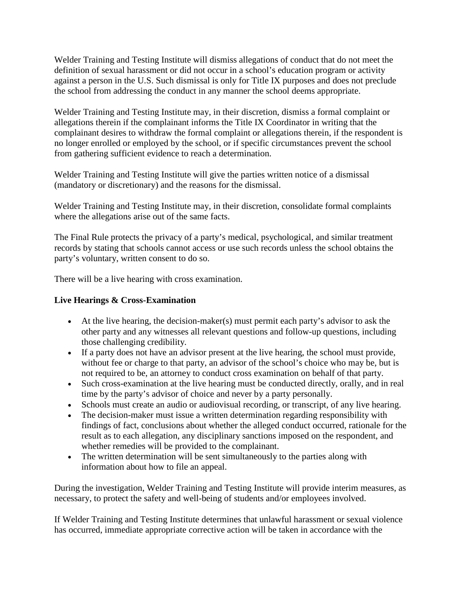Welder Training and Testing Institute will dismiss allegations of conduct that do not meet the definition of sexual harassment or did not occur in a school's education program or activity against a person in the U.S. Such dismissal is only for Title IX purposes and does not preclude the school from addressing the conduct in any manner the school deems appropriate.

Welder Training and Testing Institute may, in their discretion, dismiss a formal complaint or allegations therein if the complainant informs the Title IX Coordinator in writing that the complainant desires to withdraw the formal complaint or allegations therein, if the respondent is no longer enrolled or employed by the school, or if specific circumstances prevent the school from gathering sufficient evidence to reach a determination.

Welder Training and Testing Institute will give the parties written notice of a dismissal (mandatory or discretionary) and the reasons for the dismissal.

Welder Training and Testing Institute may, in their discretion, consolidate formal complaints where the allegations arise out of the same facts.

The Final Rule protects the privacy of a party's medical, psychological, and similar treatment records by stating that schools cannot access or use such records unless the school obtains the party's voluntary, written consent to do so.

There will be a live hearing with cross examination.

# **Live Hearings & Cross-Examination**

- At the live hearing, the decision-maker(s) must permit each party's advisor to ask the other party and any witnesses all relevant questions and follow-up questions, including those challenging credibility.
- If a party does not have an advisor present at the live hearing, the school must provide, without fee or charge to that party, an advisor of the school's choice who may be, but is not required to be, an attorney to conduct cross examination on behalf of that party.
- Such cross-examination at the live hearing must be conducted directly, orally, and in real time by the party's advisor of choice and never by a party personally.
- Schools must create an audio or audiovisual recording, or transcript, of any live hearing.
- The decision-maker must issue a written determination regarding responsibility with findings of fact, conclusions about whether the alleged conduct occurred, rationale for the result as to each allegation, any disciplinary sanctions imposed on the respondent, and whether remedies will be provided to the complainant.
- The written determination will be sent simultaneously to the parties along with information about how to file an appeal.

During the investigation, Welder Training and Testing Institute will provide interim measures, as necessary, to protect the safety and well-being of students and/or employees involved.

If Welder Training and Testing Institute determines that unlawful harassment or sexual violence has occurred, immediate appropriate corrective action will be taken in accordance with the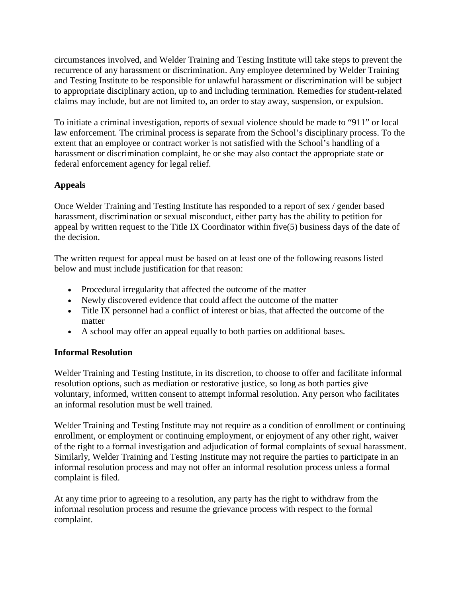circumstances involved, and Welder Training and Testing Institute will take steps to prevent the recurrence of any harassment or discrimination. Any employee determined by Welder Training and Testing Institute to be responsible for unlawful harassment or discrimination will be subject to appropriate disciplinary action, up to and including termination. Remedies for student-related claims may include, but are not limited to, an order to stay away, suspension, or expulsion.

To initiate a criminal investigation, reports of sexual violence should be made to "911" or local law enforcement. The criminal process is separate from the School's disciplinary process. To the extent that an employee or contract worker is not satisfied with the School's handling of a harassment or discrimination complaint, he or she may also contact the appropriate state or federal enforcement agency for legal relief.

# **Appeals**

Once Welder Training and Testing Institute has responded to a report of sex / gender based harassment, discrimination or sexual misconduct, either party has the ability to petition for appeal by written request to the Title IX Coordinator within five(5) business days of the date of the decision.

The written request for appeal must be based on at least one of the following reasons listed below and must include justification for that reason:

- Procedural irregularity that affected the outcome of the matter
- Newly discovered evidence that could affect the outcome of the matter
- Title IX personnel had a conflict of interest or bias, that affected the outcome of the matter
- A school may offer an appeal equally to both parties on additional bases.

# **Informal Resolution**

Welder Training and Testing Institute, in its discretion, to choose to offer and facilitate informal resolution options, such as mediation or restorative justice, so long as both parties give voluntary, informed, written consent to attempt informal resolution. Any person who facilitates an informal resolution must be well trained.

Welder Training and Testing Institute may not require as a condition of enrollment or continuing enrollment, or employment or continuing employment, or enjoyment of any other right, waiver of the right to a formal investigation and adjudication of formal complaints of sexual harassment. Similarly, Welder Training and Testing Institute may not require the parties to participate in an informal resolution process and may not offer an informal resolution process unless a formal complaint is filed.

At any time prior to agreeing to a resolution, any party has the right to withdraw from the informal resolution process and resume the grievance process with respect to the formal complaint.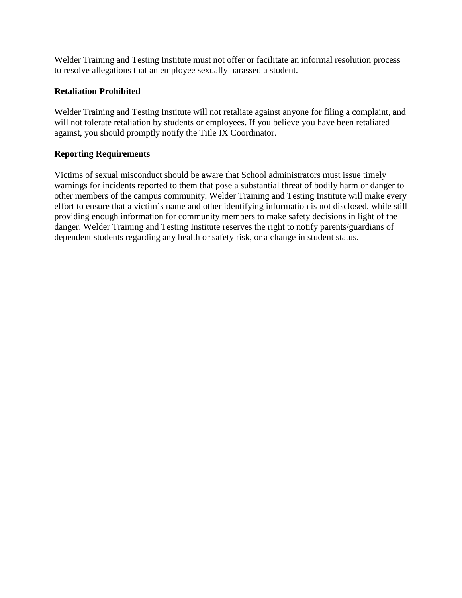Welder Training and Testing Institute must not offer or facilitate an informal resolution process to resolve allegations that an employee sexually harassed a student.

### **Retaliation Prohibited**

Welder Training and Testing Institute will not retaliate against anyone for filing a complaint, and will not tolerate retaliation by students or employees. If you believe you have been retaliated against, you should promptly notify the Title IX Coordinator.

#### **Reporting Requirements**

Victims of sexual misconduct should be aware that School administrators must issue timely warnings for incidents reported to them that pose a substantial threat of bodily harm or danger to other members of the campus community. Welder Training and Testing Institute will make every effort to ensure that a victim's name and other identifying information is not disclosed, while still providing enough information for community members to make safety decisions in light of the danger. Welder Training and Testing Institute reserves the right to notify parents/guardians of dependent students regarding any health or safety risk, or a change in student status.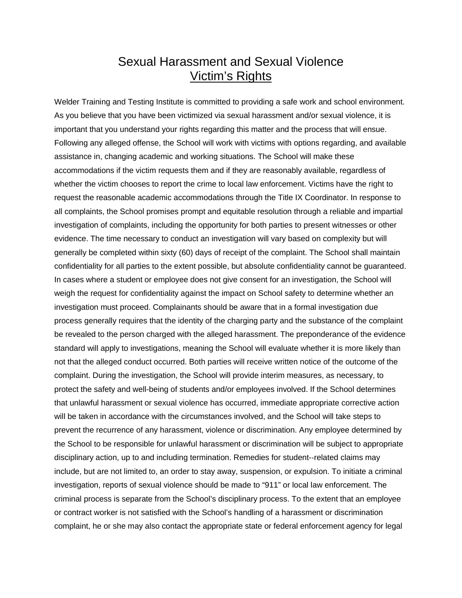# Sexual Harassment and Sexual Violence Victim's Rights

Welder Training and Testing Institute is committed to providing a safe work and school environment. As you believe that you have been victimized via sexual harassment and/or sexual violence, it is important that you understand your rights regarding this matter and the process that will ensue. Following any alleged offense, the School will work with victims with options regarding, and available assistance in, changing academic and working situations. The School will make these accommodations if the victim requests them and if they are reasonably available, regardless of whether the victim chooses to report the crime to local law enforcement. Victims have the right to request the reasonable academic accommodations through the Title IX Coordinator. In response to all complaints, the School promises prompt and equitable resolution through a reliable and impartial investigation of complaints, including the opportunity for both parties to present witnesses or other evidence. The time necessary to conduct an investigation will vary based on complexity but will generally be completed within sixty (60) days of receipt of the complaint. The School shall maintain confidentiality for all parties to the extent possible, but absolute confidentiality cannot be guaranteed. In cases where a student or employee does not give consent for an investigation, the School will weigh the request for confidentiality against the impact on School safety to determine whether an investigation must proceed. Complainants should be aware that in a formal investigation due process generally requires that the identity of the charging party and the substance of the complaint be revealed to the person charged with the alleged harassment. The preponderance of the evidence standard will apply to investigations, meaning the School will evaluate whether it is more likely than not that the alleged conduct occurred. Both parties will receive written notice of the outcome of the complaint. During the investigation, the School will provide interim measures, as necessary, to protect the safety and well-being of students and/or employees involved. If the School determines that unlawful harassment or sexual violence has occurred, immediate appropriate corrective action will be taken in accordance with the circumstances involved, and the School will take steps to prevent the recurrence of any harassment, violence or discrimination. Any employee determined by the School to be responsible for unlawful harassment or discrimination will be subject to appropriate disciplinary action, up to and including termination. Remedies for student-‐related claims may include, but are not limited to, an order to stay away, suspension, or expulsion. To initiate a criminal investigation, reports of sexual violence should be made to "911" or local law enforcement. The criminal process is separate from the School's disciplinary process. To the extent that an employee or contract worker is not satisfied with the School's handling of a harassment or discrimination complaint, he or she may also contact the appropriate state or federal enforcement agency for legal